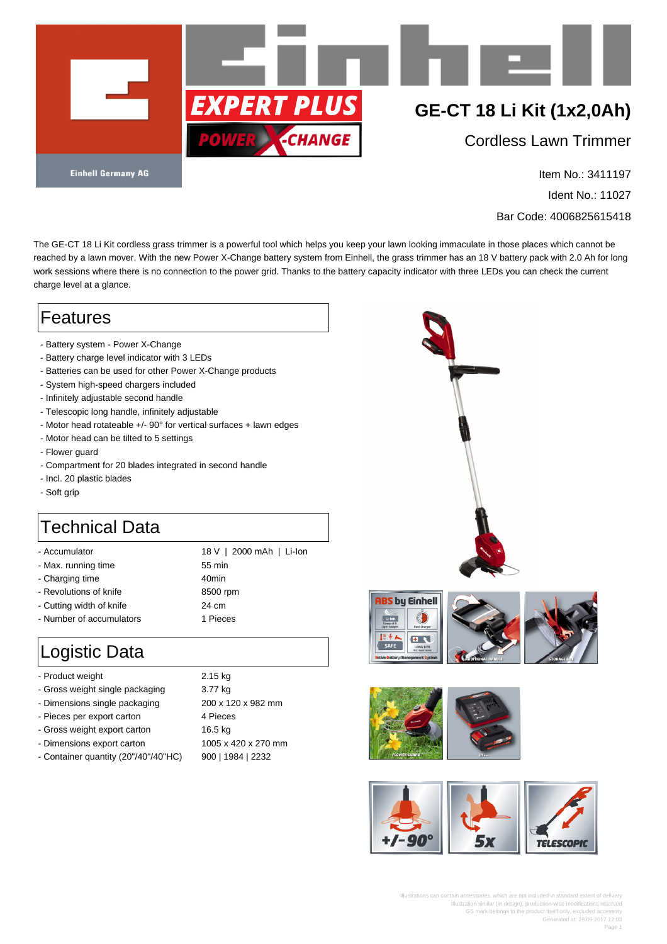

Item No.: 3411197

Ident No.: 11027

Bar Code: 4006825615418

The GE-CT 18 Li Kit cordless grass trimmer is a powerful tool which helps you keep your lawn looking immaculate in those places which cannot be reached by a lawn mover. With the new Power X-Change battery system from Einhell, the grass trimmer has an 18 V battery pack with 2.0 Ah for long work sessions where there is no connection to the power grid. Thanks to the battery capacity indicator with three LEDs you can check the current charge level at a glance.

## Features

- Battery system Power X-Change
- Battery charge level indicator with 3 LEDs
- Batteries can be used for other Power X-Change products
- System high-speed chargers included
- Infinitely adjustable second handle
- Telescopic long handle, infinitely adjustable
- Motor head rotateable +/- 90° for vertical surfaces + lawn edges
- Motor head can be tilted to 5 settings
- Flower guard
- Compartment for 20 blades integrated in second handle
- Incl. 20 plastic blades
- Soft grip

## Technical Data

- 
- Accumulator 18 V | 2000 mAh | Li-Ion - Max. running time 55 min - Charging time 40min - Revolutions of knife 8500 rpm - Cutting width of knife **24 cm** - Number of accumulators 1 Pieces

## Logistic Data

- Product weight 2.15 kg
- Gross weight single packaging 3.77 kg
- Dimensions single packaging 200 x 120 x 982 mm
- Pieces per export carton 4 Pieces
- Gross weight export carton 16.5 kg
- Dimensions export carton 1005 x 420 x 270 mm
- Container quantity (20"/40"/40"HC) 900 | 1984 | 2232